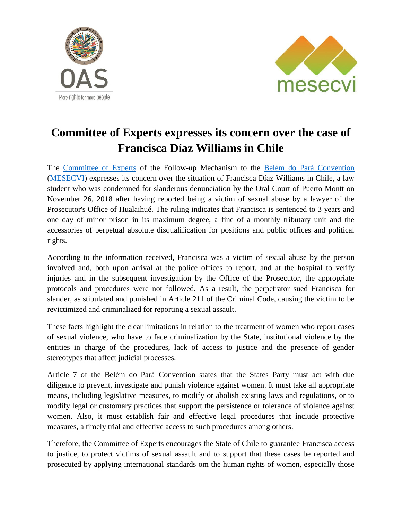



## **Committee of Experts expresses its concern over the case of Francisca Díaz Williams in Chile**

The [Committee of Experts](http://www.oas.org/en/mesecvi/Experts.asp) of the Follow-up Mechanism to the [Belém do Pará Convention](http://www.oas.org/en/mesecvi/docs/BelemDoPara-ENGLISH.pdf) [\(MESECVI\)](http://www.oas.org/en/mesecvi/about.asp) expresses its concern over the situation of Francisca Díaz Williams in Chile, a law student who was condemned for slanderous denunciation by the Oral Court of Puerto Montt on November 26, 2018 after having reported being a victim of sexual abuse by a lawyer of the Prosecutor's Office of Hualaihué. The ruling indicates that Francisca is sentenced to 3 years and one day of minor prison in its maximum degree, a fine of a monthly tributary unit and the accessories of perpetual absolute disqualification for positions and public offices and political rights.

According to the information received, Francisca was a victim of sexual abuse by the person involved and, both upon arrival at the police offices to report, and at the hospital to verify injuries and in the subsequent investigation by the Office of the Prosecutor, the appropriate protocols and procedures were not followed. As a result, the perpetrator sued Francisca for slander, as stipulated and punished in Article 211 of the Criminal Code, causing the victim to be revictimized and criminalized for reporting a sexual assault.

These facts highlight the clear limitations in relation to the treatment of women who report cases of sexual violence, who have to face criminalization by the State, institutional violence by the entities in charge of the procedures, lack of access to justice and the presence of gender stereotypes that affect judicial processes.

Article 7 of the Belém do Pará Convention states that the States Party must act with due diligence to prevent, investigate and punish violence against women. It must take all appropriate means, including legislative measures, to modify or abolish existing laws and regulations, or to modify legal or customary practices that support the persistence or tolerance of violence against women. Also, it must establish fair and effective legal procedures that include protective measures, a timely trial and effective access to such procedures among others.

Therefore, the Committee of Experts encourages the State of Chile to guarantee Francisca access to justice, to protect victims of sexual assault and to support that these cases be reported and prosecuted by applying international standards om the human rights of women, especially those